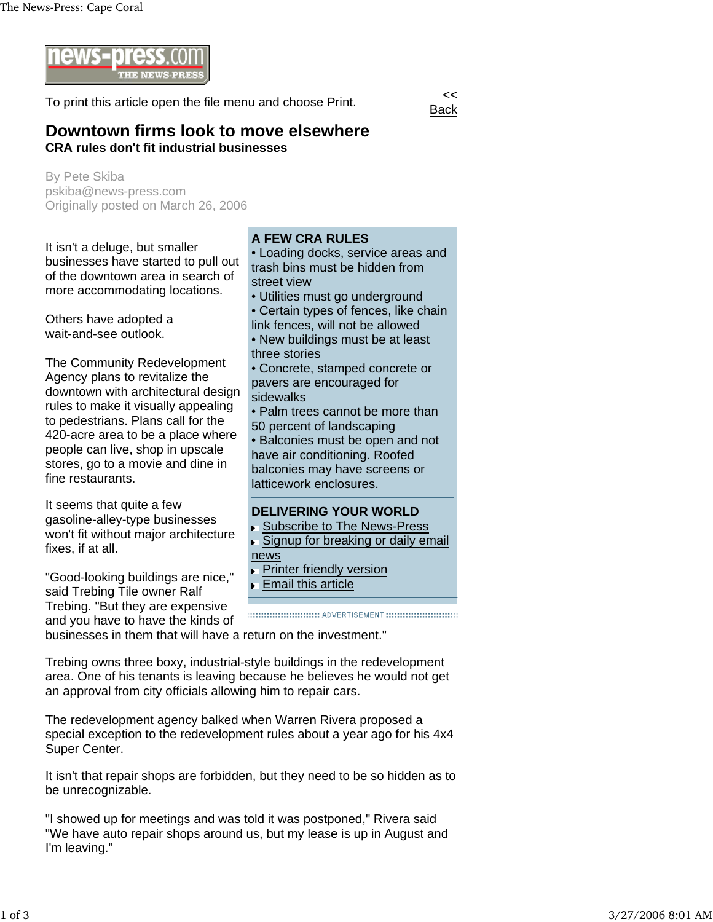

To print this article open the file menu and choose Print.



## **Downtown firms look to move elsewhere CRA rules don't fit industrial businesses**

By Pete Skiba pskiba@news-press.com Originally posted on March 26, 2006

It isn't a deluge, but smaller businesses have started to pull out of the downtown area in search of more accommodating locations.

Others have adopted a wait-and-see outlook.

The Community Redevelopment Agency plans to revitalize the downtown with architectural design rules to make it visually appealing to pedestrians. Plans call for the 420-acre area to be a place where people can live, shop in upscale stores, go to a movie and dine in fine restaurants.

It seems that quite a few gasoline-alley-type businesses won't fit without major architecture fixes, if at all.

"Good-looking buildings are nice," said Trebing Tile owner Ralf Trebing. "But they are expensive and you have to have the kinds of

## **A FEW CRA RULES**

• Loading docks, service areas and trash bins must be hidden from street view

- Utilities must go underground
- Certain types of fences, like chain link fences, will not be allowed
- New buildings must be at least three stories
- Concrete, stamped concrete or pavers are encouraged for sidewalks
- Palm trees cannot be more than 50 percent of landscaping

• Balconies must be open and not have air conditioning. Roofed balconies may have screens or latticework enclosures.

## **DELIVERING YOUR WORLD**

- Subscribe to The News-Press
- ► Signup for breaking or daily email news
- **Printer friendly version**
- **Email this article**

businesses in them that will have a return on the investment."

Trebing owns three boxy, industrial-style buildings in the redevelopment area. One of his tenants is leaving because he believes he would not get an approval from city officials allowing him to repair cars.

The redevelopment agency balked when Warren Rivera proposed a special exception to the redevelopment rules about a year ago for his 4x4 Super Center.

It isn't that repair shops are forbidden, but they need to be so hidden as to be unrecognizable.

"I showed up for meetings and was told it was postponed," Rivera said "We have auto repair shops around us, but my lease is up in August and I'm leaving."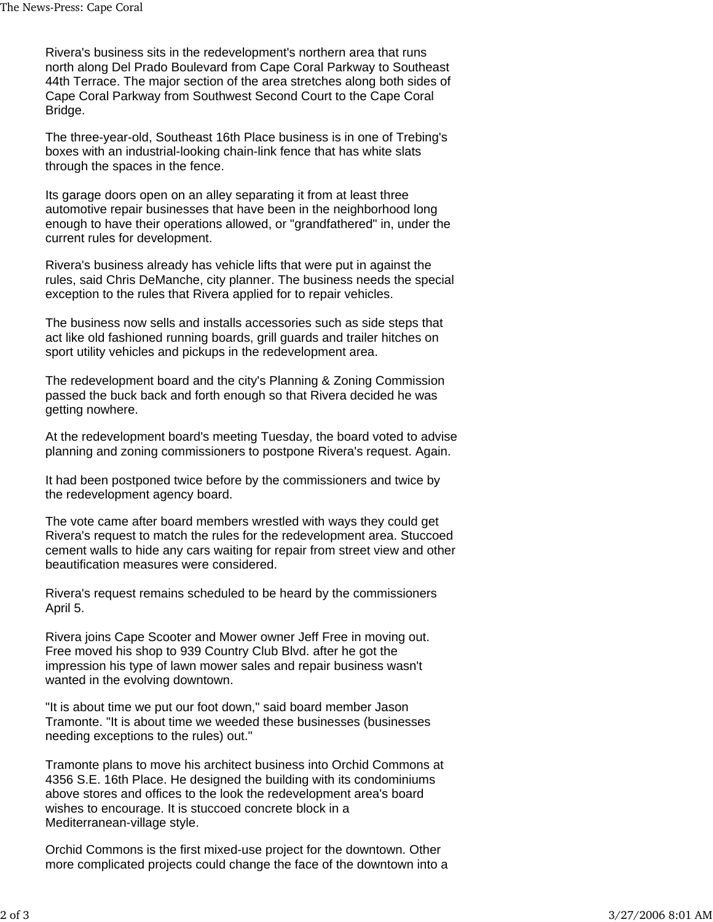Rivera's business sits in the redevelopment's northern area that runs north along Del Prado Boulevard from Cape Coral Parkway to Southeast 44th Terrace. The major section of the area stretches along both sides of Cape Coral Parkway from Southwest Second Court to the Cape Coral Bridge.

The three-year-old, Southeast 16th Place business is in one of Trebing's boxes with an industrial-looking chain-link fence that has white slats through the spaces in the fence.

Its garage doors open on an alley separating it from at least three automotive repair businesses that have been in the neighborhood long enough to have their operations allowed, or "grandfathered" in, under the current rules for development.

Rivera's business already has vehicle lifts that were put in against the rules, said Chris DeManche, city planner. The business needs the special exception to the rules that Rivera applied for to repair vehicles.

The business now sells and installs accessories such as side steps that act like old fashioned running boards, grill guards and trailer hitches on sport utility vehicles and pickups in the redevelopment area.

The redevelopment board and the city's Planning & Zoning Commission passed the buck back and forth enough so that Rivera decided he was getting nowhere.

At the redevelopment board's meeting Tuesday, the board voted to advise planning and zoning commissioners to postpone Rivera's request. Again.

It had been postponed twice before by the commissioners and twice by the redevelopment agency board.

The vote came after board members wrestled with ways they could get Rivera's request to match the rules for the redevelopment area. Stuccoed cement walls to hide any cars waiting for repair from street view and other beautification measures were considered.

Rivera's request remains scheduled to be heard by the commissioners April 5.

Rivera joins Cape Scooter and Mower owner Jeff Free in moving out. Free moved his shop to 939 Country Club Blvd. after he got the impression his type of lawn mower sales and repair business wasn't wanted in the evolving downtown.

"It is about time we put our foot down," said board member Jason Tramonte. "It is about time we weeded these businesses (businesses needing exceptions to the rules) out."

Tramonte plans to move his architect business into Orchid Commons at 4356 S.E. 16th Place. He designed the building with its condominiums above stores and offices to the look the redevelopment area's board wishes to encourage. It is stuccoed concrete block in a Mediterranean-village style.

Orchid Commons is the first mixed-use project for the downtown. Other more complicated projects could change the face of the downtown into a